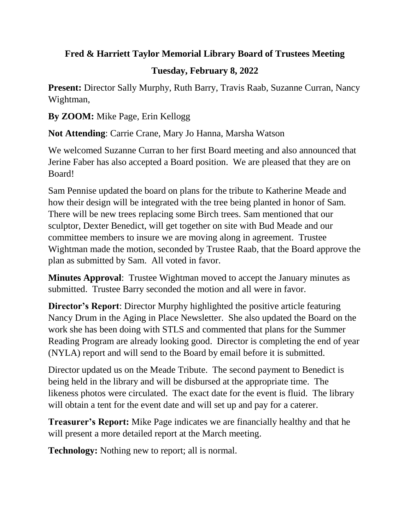## **Fred & Harriett Taylor Memorial Library Board of Trustees Meeting**

## **Tuesday, February 8, 2022**

**Present:** Director Sally Murphy, Ruth Barry, Travis Raab, Suzanne Curran, Nancy Wightman,

**By ZOOM:** Mike Page, Erin Kellogg

**Not Attending**: Carrie Crane, Mary Jo Hanna, Marsha Watson

We welcomed Suzanne Curran to her first Board meeting and also announced that Jerine Faber has also accepted a Board position. We are pleased that they are on Board!

Sam Pennise updated the board on plans for the tribute to Katherine Meade and how their design will be integrated with the tree being planted in honor of Sam. There will be new trees replacing some Birch trees. Sam mentioned that our sculptor, Dexter Benedict, will get together on site with Bud Meade and our committee members to insure we are moving along in agreement. Trustee Wightman made the motion, seconded by Trustee Raab, that the Board approve the plan as submitted by Sam. All voted in favor.

**Minutes Approval**: Trustee Wightman moved to accept the January minutes as submitted. Trustee Barry seconded the motion and all were in favor.

**Director's Report**: Director Murphy highlighted the positive article featuring Nancy Drum in the Aging in Place Newsletter. She also updated the Board on the work she has been doing with STLS and commented that plans for the Summer Reading Program are already looking good. Director is completing the end of year (NYLA) report and will send to the Board by email before it is submitted.

Director updated us on the Meade Tribute. The second payment to Benedict is being held in the library and will be disbursed at the appropriate time. The likeness photos were circulated. The exact date for the event is fluid. The library will obtain a tent for the event date and will set up and pay for a caterer.

**Treasurer's Report:** Mike Page indicates we are financially healthy and that he will present a more detailed report at the March meeting.

**Technology:** Nothing new to report; all is normal.